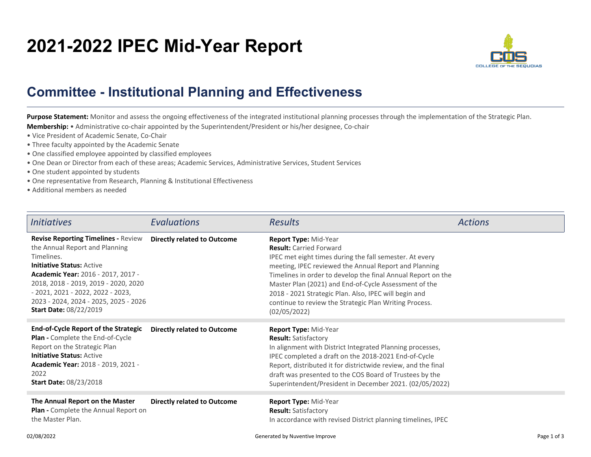## **2021-2022 IPEC Mid-Year Report**



## **Committee - Institutional Planning and Effectiveness**

Purpose Statement: Monitor and assess the ongoing effectiveness of the integrated institutional planning processes through the implementation of the Strategic Plan. **Membership:** • Administrative co-chair appointed by the Superintendent/President or his/her designee, Co-chair

- Vice President of Academic Senate, Co-Chair
- Three faculty appointed by the Academic Senate
- One classified employee appointed by classified employees
- One Dean or Director from each of these areas; Academic Services, Administrative Services, Student Services
- One student appointed by students
- One representative from Research, Planning & Institutional Effectiveness
- Additional members as needed

| <i><u><b>Initiatives</b></u></i>                                                                                                                                                                                                                                                                                             | Evaluations                        | <b>Results</b>                                                                                                                                                                                                                                                                                                                                                                                                                          | <b>Actions</b> |
|------------------------------------------------------------------------------------------------------------------------------------------------------------------------------------------------------------------------------------------------------------------------------------------------------------------------------|------------------------------------|-----------------------------------------------------------------------------------------------------------------------------------------------------------------------------------------------------------------------------------------------------------------------------------------------------------------------------------------------------------------------------------------------------------------------------------------|----------------|
| <b>Revise Reporting Timelines - Review</b><br>the Annual Report and Planning<br>Timelines.<br><b>Initiative Status: Active</b><br><b>Academic Year: 2016 - 2017, 2017 -</b><br>2018, 2018 - 2019, 2019 - 2020, 2020<br>$-2021, 2021 - 2022, 2022 - 2023,$<br>2023 - 2024, 2024 - 2025, 2025 - 2026<br>Start Date: 08/22/2019 | <b>Directly related to Outcome</b> | Report Type: Mid-Year<br><b>Result:</b> Carried Forward<br>IPEC met eight times during the fall semester. At every<br>meeting, IPEC reviewed the Annual Report and Planning<br>Timelines in order to develop the final Annual Report on the<br>Master Plan (2021) and End-of-Cycle Assessment of the<br>2018 - 2021 Strategic Plan. Also, IPEC will begin and<br>continue to review the Strategic Plan Writing Process.<br>(02/05/2022) |                |
| <b>End-of-Cycle Report of the Strategic</b><br>Plan - Complete the End-of-Cycle<br>Report on the Strategic Plan<br><b>Initiative Status: Active</b><br><b>Academic Year: 2018 - 2019, 2021 -</b><br>2022<br><b>Start Date: 08/23/2018</b>                                                                                    | <b>Directly related to Outcome</b> | Report Type: Mid-Year<br><b>Result:</b> Satisfactory<br>In alignment with District Integrated Planning processes,<br>IPEC completed a draft on the 2018-2021 End-of-Cycle<br>Report, distributed it for districtwide review, and the final<br>draft was presented to the COS Board of Trustees by the<br>Superintendent/President in December 2021. (02/05/2022)                                                                        |                |
| The Annual Report on the Master<br><b>Plan</b> - Complete the Annual Report on<br>the Master Plan.                                                                                                                                                                                                                           | <b>Directly related to Outcome</b> | Report Type: Mid-Year<br><b>Result: Satisfactory</b><br>In accordance with revised District planning timelines, IPEC                                                                                                                                                                                                                                                                                                                    |                |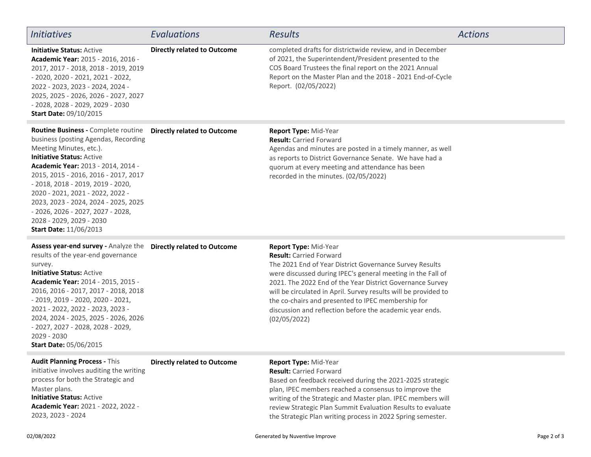| <i>Initiatives</i>                                                                                                                                                                                                                                                                                                                                                                                                                                    | Evaluations                        | <b>Results</b>                                                                                                                                                                                                                                                                                                                                                                                                                                      | <b>Actions</b> |
|-------------------------------------------------------------------------------------------------------------------------------------------------------------------------------------------------------------------------------------------------------------------------------------------------------------------------------------------------------------------------------------------------------------------------------------------------------|------------------------------------|-----------------------------------------------------------------------------------------------------------------------------------------------------------------------------------------------------------------------------------------------------------------------------------------------------------------------------------------------------------------------------------------------------------------------------------------------------|----------------|
| <b>Initiative Status: Active</b><br>Academic Year: 2015 - 2016, 2016 -<br>2017, 2017 - 2018, 2018 - 2019, 2019<br>$-2020, 2020 - 2021, 2021 - 2022,$<br>2022 - 2023, 2023 - 2024, 2024 -<br>2025, 2025 - 2026, 2026 - 2027, 2027<br>- 2028, 2028 - 2029, 2029 - 2030<br><b>Start Date: 09/10/2015</b>                                                                                                                                                 | <b>Directly related to Outcome</b> | completed drafts for districtwide review, and in December<br>of 2021, the Superintendent/President presented to the<br>COS Board Trustees the final report on the 2021 Annual<br>Report on the Master Plan and the 2018 - 2021 End-of-Cycle<br>Report. (02/05/2022)                                                                                                                                                                                 |                |
| Routine Business - Complete routine<br>business (posting Agendas, Recording<br>Meeting Minutes, etc.).<br><b>Initiative Status: Active</b><br><b>Academic Year: 2013 - 2014, 2014 -</b><br>2015, 2015 - 2016, 2016 - 2017, 2017<br>$-2018$ , 2018 - 2019, 2019 - 2020,<br>2020 - 2021, 2021 - 2022, 2022 -<br>2023, 2023 - 2024, 2024 - 2025, 2025<br>$-2026, 2026 - 2027, 2027 - 2028,$<br>2028 - 2029, 2029 - 2030<br><b>Start Date: 11/06/2013</b> | <b>Directly related to Outcome</b> | Report Type: Mid-Year<br><b>Result: Carried Forward</b><br>Agendas and minutes are posted in a timely manner, as well<br>as reports to District Governance Senate. We have had a<br>quorum at every meeting and attendance has been<br>recorded in the minutes. (02/05/2022)                                                                                                                                                                        |                |
| Assess year-end survey - Analyze the<br>results of the year-end governance<br>survey.<br><b>Initiative Status: Active</b><br>Academic Year: 2014 - 2015, 2015 -<br>2016, 2016 - 2017, 2017 - 2018, 2018<br>$-2019, 2019 - 2020, 2020 - 2021,$<br>2021 - 2022, 2022 - 2023, 2023 -<br>2024, 2024 - 2025, 2025 - 2026, 2026<br>- 2027, 2027 - 2028, 2028 - 2029,<br>2029 - 2030<br><b>Start Date: 05/06/2015</b>                                        | <b>Directly related to Outcome</b> | Report Type: Mid-Year<br><b>Result: Carried Forward</b><br>The 2021 End of Year District Governance Survey Results<br>were discussed during IPEC's general meeting in the Fall of<br>2021. The 2022 End of the Year District Governance Survey<br>will be circulated in April. Survey results will be provided to<br>the co-chairs and presented to IPEC membership for<br>discussion and reflection before the academic year ends.<br>(02/05/2022) |                |
| <b>Audit Planning Process - This</b><br>initiative involves auditing the writing<br>process for both the Strategic and<br>Master plans.<br><b>Initiative Status: Active</b><br>Academic Year: 2021 - 2022, 2022 -<br>2023, 2023 - 2024                                                                                                                                                                                                                | <b>Directly related to Outcome</b> | Report Type: Mid-Year<br><b>Result: Carried Forward</b><br>Based on feedback received during the 2021-2025 strategic<br>plan, IPEC members reached a consensus to improve the<br>writing of the Strategic and Master plan. IPEC members will<br>review Strategic Plan Summit Evaluation Results to evaluate<br>the Strategic Plan writing process in 2022 Spring semester.                                                                          |                |